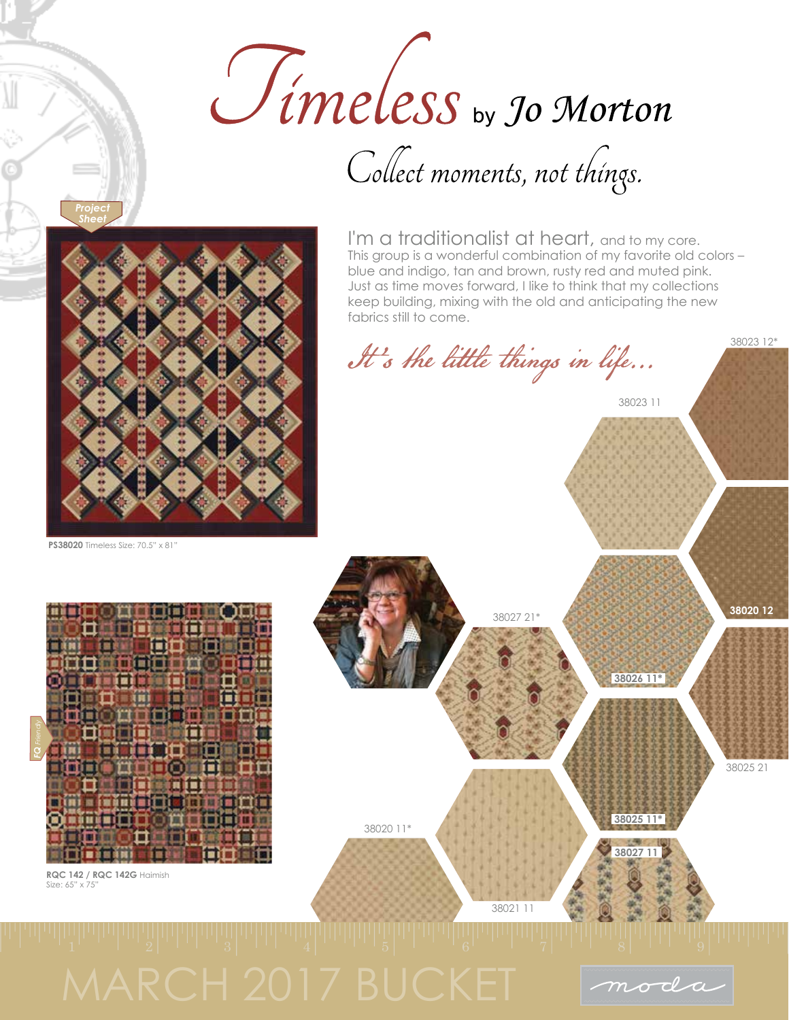

Collect moments, not things.

**PS38020** Timeless Size: 70.5" x 81"

*Project Sheet*



**RQC 142 / RQC 142G** Haimish Size: 65" x 75"

I'm a traditionalist at heart, and to my core. This group is a wonderful combination of my favorite old colors – blue and indigo, tan and brown, rusty red and muted pink. Just as time moves forward, I like to think that my collections keep building, mixing with the old and anticipating the new fabrics still to come.

38023 12\*

It's the little things in life...

moda